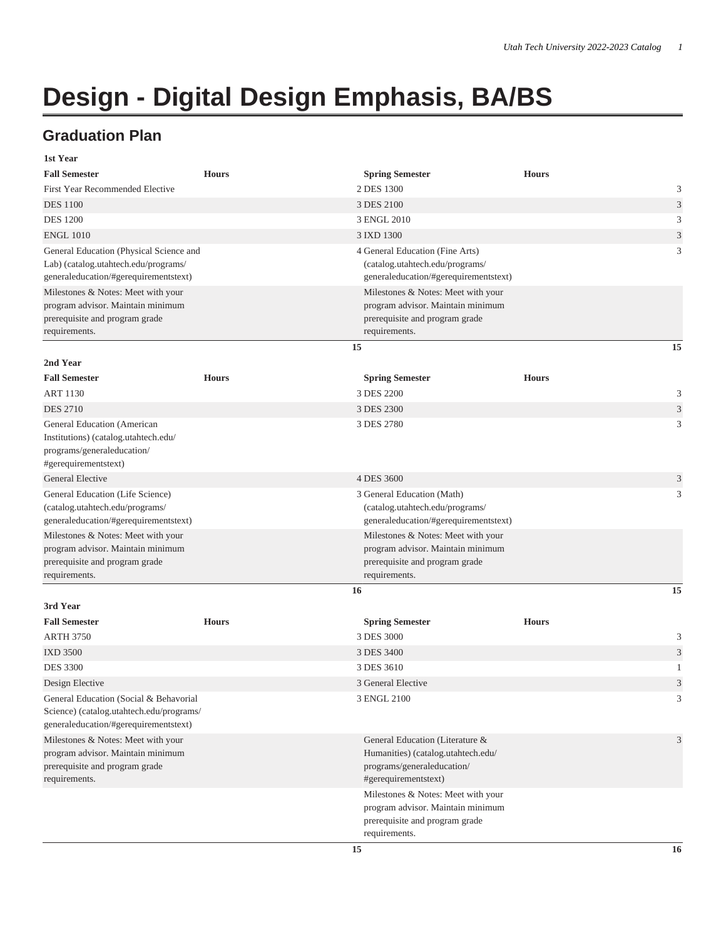## **Design - Digital Design Emphasis, BA/BS**

## **Graduation Plan**

| 1st Year                                                                                                                    |              |                                                                                                                             |              |   |
|-----------------------------------------------------------------------------------------------------------------------------|--------------|-----------------------------------------------------------------------------------------------------------------------------|--------------|---|
| <b>Fall Semester</b>                                                                                                        | <b>Hours</b> | <b>Spring Semester</b>                                                                                                      | <b>Hours</b> |   |
| <b>First Year Recommended Elective</b>                                                                                      |              | 2 DES 1300                                                                                                                  |              | 3 |
| <b>DES</b> 1100                                                                                                             |              | 3 DES 2100                                                                                                                  |              | 3 |
| <b>DES 1200</b>                                                                                                             |              | 3 ENGL 2010                                                                                                                 |              | 3 |
| <b>ENGL 1010</b>                                                                                                            |              | 3 IXD 1300                                                                                                                  |              | 3 |
| General Education (Physical Science and<br>Lab) (catalog.utahtech.edu/programs/<br>generaleducation/#gerequirementstext)    |              | 4 General Education (Fine Arts)<br>(catalog.utahtech.edu/programs/<br>generaleducation/#gerequirementstext)                 |              | 3 |
| Milestones & Notes: Meet with your                                                                                          |              | Milestones & Notes: Meet with your                                                                                          |              |   |
| program advisor. Maintain minimum<br>prerequisite and program grade<br>requirements.                                        |              | program advisor. Maintain minimum<br>prerequisite and program grade<br>requirements.                                        |              |   |
|                                                                                                                             |              | 15                                                                                                                          | 15           |   |
| 2nd Year                                                                                                                    |              |                                                                                                                             |              |   |
| <b>Fall Semester</b><br><b>ART 1130</b>                                                                                     | <b>Hours</b> | <b>Spring Semester</b><br>3 DES 2200                                                                                        | <b>Hours</b> | 3 |
| <b>DES 2710</b>                                                                                                             |              | 3 DES 2300                                                                                                                  |              | 3 |
| General Education (American<br>Institutions) (catalog.utahtech.edu/<br>programs/generaleducation/<br>#gerequirementstext)   |              | 3 DES 2780                                                                                                                  |              | 3 |
| General Elective                                                                                                            |              | 4 DES 3600                                                                                                                  |              | 3 |
| General Education (Life Science)<br>(catalog.utahtech.edu/programs/<br>generaleducation/#gerequirementstext)                |              | 3 General Education (Math)<br>(catalog.utahtech.edu/programs/<br>generaleducation/#gerequirementstext)                      |              | 3 |
| Milestones & Notes: Meet with your<br>program advisor. Maintain minimum<br>prerequisite and program grade<br>requirements.  |              | Milestones & Notes: Meet with your<br>program advisor. Maintain minimum<br>prerequisite and program grade<br>requirements.  |              |   |
|                                                                                                                             |              | 16                                                                                                                          | 15           |   |
| 3rd Year<br><b>Fall Semester</b><br><b>ARTH 3750</b>                                                                        | <b>Hours</b> | <b>Spring Semester</b><br>3 DES 3000                                                                                        | <b>Hours</b> | 3 |
| <b>IXD 3500</b>                                                                                                             |              | 3 DES 3400                                                                                                                  |              | 3 |
| <b>DES 3300</b>                                                                                                             |              | 3 DES 3610                                                                                                                  |              | 1 |
| Design Elective                                                                                                             |              | 3 General Elective                                                                                                          |              | 3 |
| General Education (Social & Behavorial<br>Science) (catalog.utahtech.edu/programs/<br>generaleducation/#gerequirementstext) |              | 3 ENGL 2100                                                                                                                 |              | 3 |
| Milestones & Notes: Meet with your<br>program advisor. Maintain minimum<br>prerequisite and program grade<br>requirements.  |              | General Education (Literature &<br>Humanities) (catalog.utahtech.edu/<br>programs/generaleducation/<br>#gerequirementstext) |              | 3 |
|                                                                                                                             |              | Milestones & Notes: Meet with your<br>program advisor. Maintain minimum<br>prerequisite and program grade<br>requirements.  |              |   |